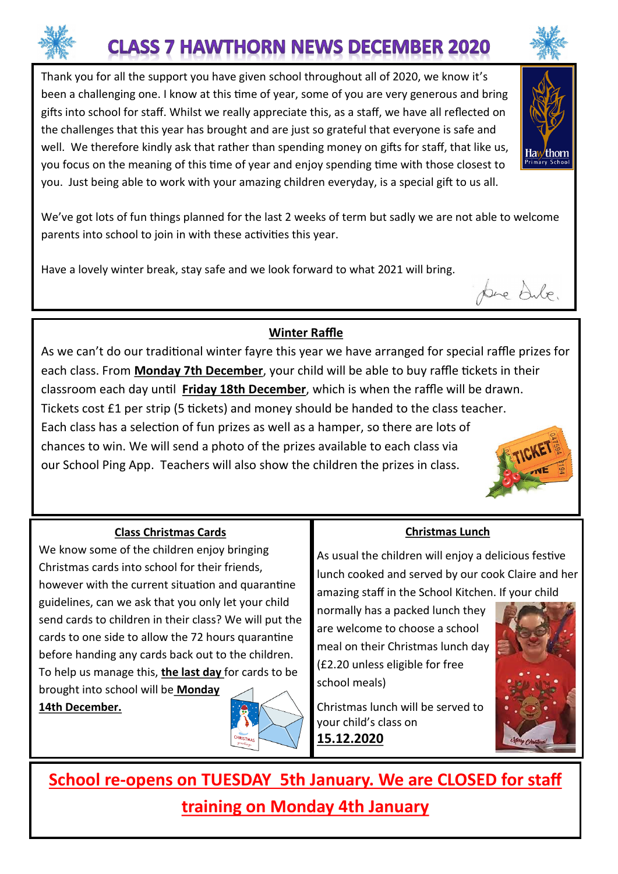# **CLASS 7 HAWTHORN NEWS DECEMBER 2020**

Thank you for all the support you have given school throughout all of 2020, we know it's been a challenging one. I know at this time of year, some of you are very generous and bring gifts into school for staff. Whilst we really appreciate this, as a staff, we have all reflected on the challenges that this year has brought and are just so grateful that everyone is safe and well. We therefore kindly ask that rather than spending money on gifts for staff, that like us, you focus on the meaning of this time of year and enjoy spending time with those closest to you. Just being able to work with your amazing children everyday, is a special gift to us all.



We've got lots of fun things planned for the last 2 weeks of term but sadly we are not able to welcome parents into school to join in with these activities this year.

Have a lovely winter break, stay safe and we look forward to what 2021 will bring.

# **Winter Raffle**

As we can't do our traditional winter fayre this year we have arranged for special raffle prizes for each class. From **Monday 7th December**, your child will be able to buy raffle tickets in their classroom each day until **Friday 18th December**, which is when the raffle will be drawn. Tickets cost £1 per strip (5 tickets) and money should be handed to the class teacher. Each class has a selection of fun prizes as well as a hamper, so there are lots of chances to win. We will send a photo of the prizes available to each class via our School Ping App. Teachers will also show the children the prizes in class.

## **Class Christmas Cards**

We know some of the children enjoy bringing Christmas cards into school for their friends, however with the current situation and quarantine guidelines, can we ask that you only let your child send cards to children in their class? We will put the cards to one side to allow the 72 hours quarantine before handing any cards back out to the children. To help us manage this, **the last day** for cards to be brought into school will be **Monday** 

**14th December.**

## **Christmas Lunch**

As usual the children will enjoy a delicious festive lunch cooked and served by our cook Claire and her amazing staff in the School Kitchen. If your child

normally has a packed lunch they are welcome to choose a school meal on their Christmas lunch day (£2.20 unless eligible for free school meals)

Christmas lunch will be served to your child's class on **15.12.2020**



**School re-opens on TUESDAY 5th January. We are CLOSED for staff training on Monday 4th January** 



pre Sule.